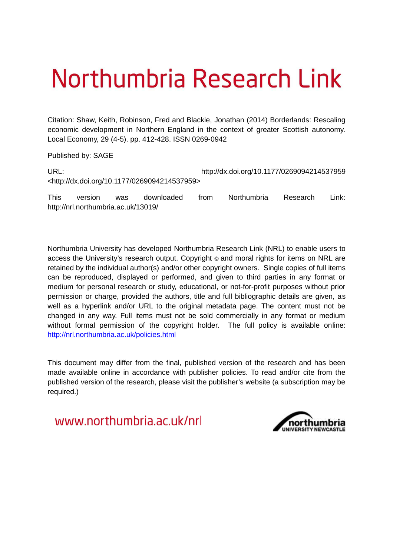# Northumbria Research Link

Citation: Shaw, Keith, Robinson, Fred and Blackie, Jonathan (2014) Borderlands: Rescaling economic development in Northern England in the context of greater Scottish autonomy. Local Economy, 29 (4-5). pp. 412-428. ISSN 0269-0942

Published by: SAGE

| URL:                                                         | http://dx.doi.org/10.1177/0269094214537959 |
|--------------------------------------------------------------|--------------------------------------------|
| <http: 0269094214537959="" 10.1177="" dx.doi.org=""></http:> |                                            |

This version was downloaded from Northumbria Research Link: http://nrl.northumbria.ac.uk/13019/

Northumbria University has developed Northumbria Research Link (NRL) to enable users to access the University's research output. Copyright  $\circ$  and moral rights for items on NRL are retained by the individual author(s) and/or other copyright owners. Single copies of full items can be reproduced, displayed or performed, and given to third parties in any format or medium for personal research or study, educational, or not-for-profit purposes without prior permission or charge, provided the authors, title and full bibliographic details are given, as well as a hyperlink and/or URL to the original metadata page. The content must not be changed in any way. Full items must not be sold commercially in any format or medium without formal permission of the copyright holder. The full policy is available online: <http://nrl.northumbria.ac.uk/policies.html>

This document may differ from the final, published version of the research and has been made available online in accordance with publisher policies. To read and/or cite from the published version of the research, please visit the publisher's website (a subscription may be required.)

www.northumbria.ac.uk/nrl

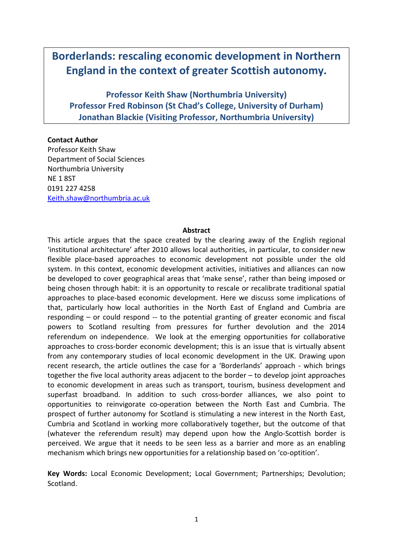# **Borderlands: rescaling economic development in Northern England in the context of greater Scottish autonomy.**

**Professor Keith Shaw (Northumbria University) Professor Fred Robinson (St Chad's College, University of Durham) Jonathan Blackie (Visiting Professor, Northumbria University)** 

**Contact Author** Professor Keith Shaw Department of Social Sciences Northumbria University NE 1 8ST 0191 227 4258 [Keith.shaw@northumbria.ac.uk](mailto:Keith.shaw@northumbria.ac.uk)

#### **Abstract**

This article argues that the space created by the clearing away of the English regional 'institutional architecture' after 2010 allows local authorities, in particular, to consider new flexible place-based approaches to economic development not possible under the old system. In this context, economic development activities, initiatives and alliances can now be developed to cover geographical areas that 'make sense', rather than being imposed or being chosen through habit: it is an opportunity to rescale or recalibrate traditional spatial approaches to place-based economic development. Here we discuss some implications of that, particularly how local authorities in the North East of England and Cumbria are responding – or could respond -- to the potential granting of greater economic and fiscal powers to Scotland resulting from pressures for further devolution and the 2014 referendum on independence. We look at the emerging opportunities for collaborative approaches to cross-border economic development; this is an issue that is virtually absent from any contemporary studies of local economic development in the UK. Drawing upon recent research, the article outlines the case for a 'Borderlands' approach - which brings together the five local authority areas adjacent to the border – to develop joint approaches to economic development in areas such as transport, tourism, business development and superfast broadband. In addition to such cross-border alliances, we also point to opportunities to reinvigorate co-operation between the North East and Cumbria. The prospect of further autonomy for Scotland is stimulating a new interest in the North East, Cumbria and Scotland in working more collaboratively together, but the outcome of that (whatever the referendum result) may depend upon how the Anglo-Scottish border is perceived. We argue that it needs to be seen less as a barrier and more as an enabling mechanism which brings new opportunities for a relationship based on 'co-optition'.

**Key Words:** Local Economic Development; Local Government; Partnerships; Devolution; Scotland.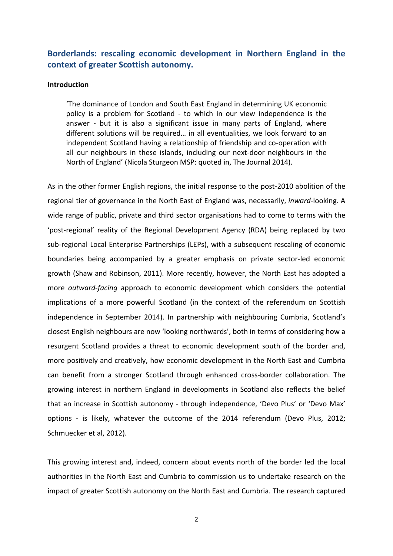# **Borderlands: rescaling economic development in Northern England in the context of greater Scottish autonomy.**

#### **Introduction**

'The dominance of London and South East England in determining UK economic policy is a problem for Scotland - to which in our view independence is the answer - but it is also a significant issue in many parts of England, where different solutions will be required… in all eventualities, we look forward to an independent Scotland having a relationship of friendship and co-operation with all our neighbours in these islands, including our next-door neighbours in the North of England' (Nicola Sturgeon MSP: quoted in, The Journal 2014).

As in the other former English regions, the initial response to the post-2010 abolition of the regional tier of governance in the North East of England was, necessarily, *inward*-looking. A wide range of public, private and third sector organisations had to come to terms with the 'post-regional' reality of the Regional Development Agency (RDA) being replaced by two sub-regional Local Enterprise Partnerships (LEPs), with a subsequent rescaling of economic boundaries being accompanied by a greater emphasis on private sector-led economic growth (Shaw and Robinson, 2011). More recently, however, the North East has adopted a more *outward-facing* approach to economic development which considers the potential implications of a more powerful Scotland (in the context of the referendum on Scottish independence in September 2014). In partnership with neighbouring Cumbria, Scotland's closest English neighbours are now 'looking northwards', both in terms of considering how a resurgent Scotland provides a threat to economic development south of the border and, more positively and creatively, how economic development in the North East and Cumbria can benefit from a stronger Scotland through enhanced cross-border collaboration. The growing interest in northern England in developments in Scotland also reflects the belief that an increase in Scottish autonomy - through independence, 'Devo Plus' or 'Devo Max' options - is likely, whatever the outcome of the 2014 referendum (Devo Plus, 2012; Schmuecker et al, 2012).

This growing interest and, indeed, concern about events north of the border led the local authorities in the North East and Cumbria to commission us to undertake research on the impact of greater Scottish autonomy on the North East and Cumbria. The research captured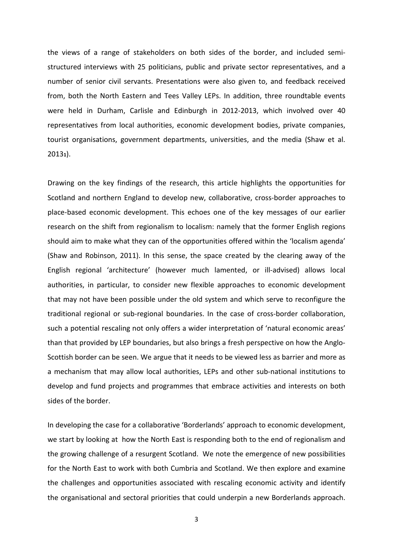the views of a range of stakeholders on both sides of the border, and included semistructured interviews with 25 politicians, public and private sector representatives, and a number of senior civil servants. Presentations were also given to, and feedback received from, both the North Eastern and Tees Valley LEPs. In addition, three roundtable events were held in Durham, Carlisle and Edinburgh in 2012-2013, which involved over 40 representatives from local authorities, economic development bodies, private companies, tourist organisations, government departments, universities, and the media (Shaw et al. 2013**1**).

Drawing on the key findings of the research, this article highlights the opportunities for Scotland and northern England to develop new, collaborative, cross-border approaches to place-based economic development. This echoes one of the key messages of our earlier research on the shift from regionalism to localism: namely that the former English regions should aim to make what they can of the opportunities offered within the 'localism agenda' (Shaw and Robinson, 2011). In this sense, the space created by the clearing away of the English regional 'architecture' (however much lamented, or ill-advised) allows local authorities, in particular, to consider new flexible approaches to economic development that may not have been possible under the old system and which serve to reconfigure the traditional regional or sub-regional boundaries. In the case of cross-border collaboration, such a potential rescaling not only offers a wider interpretation of 'natural economic areas' than that provided by LEP boundaries, but also brings a fresh perspective on how the Anglo-Scottish border can be seen. We argue that it needs to be viewed less as barrier and more as a mechanism that may allow local authorities, LEPs and other sub-national institutions to develop and fund projects and programmes that embrace activities and interests on both sides of the border.

In developing the case for a collaborative 'Borderlands' approach to economic development, we start by looking at how the North East is responding both to the end of regionalism and the growing challenge of a resurgent Scotland. We note the emergence of new possibilities for the North East to work with both Cumbria and Scotland. We then explore and examine the challenges and opportunities associated with rescaling economic activity and identify the organisational and sectoral priorities that could underpin a new Borderlands approach.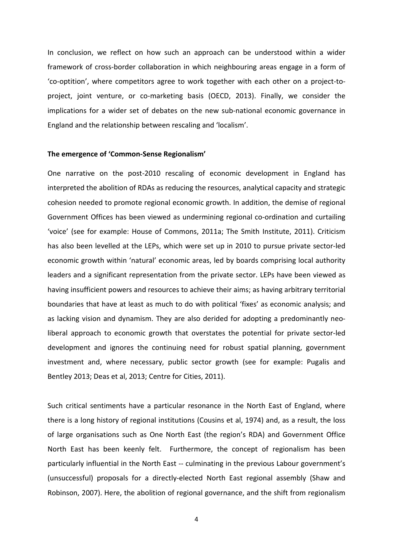In conclusion, we reflect on how such an approach can be understood within a wider framework of cross-border collaboration in which neighbouring areas engage in a form of 'co-optition', where competitors agree to work together with each other on a project-toproject, [joint venture,](http://www.businessdictionary.com/definition/joint-venture-JV.html) or co-marketing basis (OECD, 2013). Finally, we consider the implications for a wider set of debates on the new sub-national economic governance in England and the relationship between rescaling and 'localism'.

#### **The emergence of 'Common-Sense Regionalism'**

One narrative on the post-2010 rescaling of economic development in England has interpreted the abolition of RDAs as reducing the resources, analytical capacity and strategic cohesion needed to promote regional economic growth. In addition, the demise of regional Government Offices has been viewed as undermining regional co-ordination and curtailing 'voice' (see for example: House of Commons, 2011a; The Smith Institute, 2011). Criticism has also been levelled at the LEPs, which were set up in 2010 to pursue private sector-led economic growth within 'natural' economic areas, led by boards comprising local authority leaders and a significant representation from the private sector. LEPs have been viewed as having insufficient powers and resources to achieve their aims; as having arbitrary territorial boundaries that have at least as much to do with political 'fixes' as economic analysis; and as lacking vision and dynamism. They are also derided for adopting a predominantly neoliberal approach to economic growth that overstates the potential for private sector-led development and ignores the continuing need for robust spatial planning, government investment and, where necessary, public sector growth (see for example: Pugalis and Bentley 2013; Deas et al, 2013; Centre for Cities, 2011).

Such critical sentiments have a particular resonance in the North East of England, where there is a long history of regional institutions (Cousins et al, 1974) and, as a result, the loss of large organisations such as One North East (the region's RDA) and Government Office North East has been keenly felt. Furthermore, the concept of regionalism has been particularly influential in the North East -- culminating in the previous Labour government's (unsuccessful) proposals for a directly-elected North East regional assembly (Shaw and Robinson, 2007). Here, the abolition of regional governance, and the shift from regionalism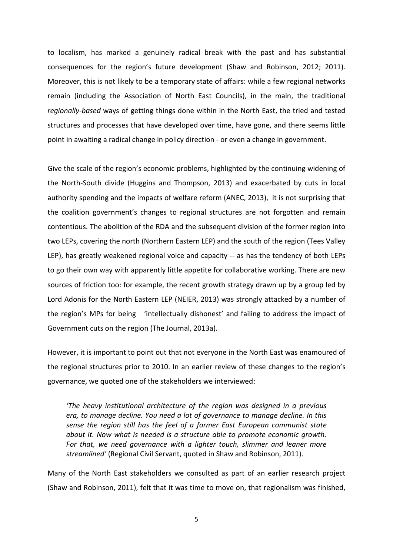to localism, has marked a genuinely radical break with the past and has substantial consequences for the region's future development (Shaw and Robinson, 2012; 2011). Moreover, this is not likely to be a temporary state of affairs: while a few regional networks remain (including the Association of North East Councils), in the main, the traditional *regionally-based* ways of getting things done within in the North East, the tried and tested structures and processes that have developed over time, have gone, and there seems little point in awaiting a radical change in policy direction - or even a change in government.

Give the scale of the region's economic problems, highlighted by the continuing widening of the North-South divide (Huggins and Thompson, 2013) and exacerbated by cuts in local authority spending and the impacts of welfare reform (ANEC, 2013), it is not surprising that the coalition government's changes to regional structures are not forgotten and remain contentious. The abolition of the RDA and the subsequent division of the former region into two LEPs, covering the north (Northern Eastern LEP) and the south of the region (Tees Valley LEP), has greatly weakened regional voice and capacity -- as has the tendency of both LEPs to go their own way with apparently little appetite for collaborative working. There are new sources of friction too: for example, the recent growth strategy drawn up by a group led by Lord Adonis for the North Eastern LEP (NEIER, 2013) was strongly attacked by a number of the region's MPs for being 'intellectually dishonest' and failing to address the impact of Government cuts on the region (The Journal, 2013a).

However, it is important to point out that not everyone in the North East was enamoured of the regional structures prior to 2010. In an earlier review of these changes to the region's governance, we quoted one of the stakeholders we interviewed:

*'The heavy institutional architecture of the region was designed in a previous era, to manage decline. You need a lot of governance to manage decline. In this sense the region still has the feel of a former East European communist state about it. Now what is needed is a structure able to promote economic growth. For that, we need governance with a lighter touch, slimmer and leaner more streamlined'* (Regional Civil Servant, quoted in Shaw and Robinson, 2011).

Many of the North East stakeholders we consulted as part of an earlier research project (Shaw and Robinson, 2011), felt that it was time to move on, that regionalism was finished,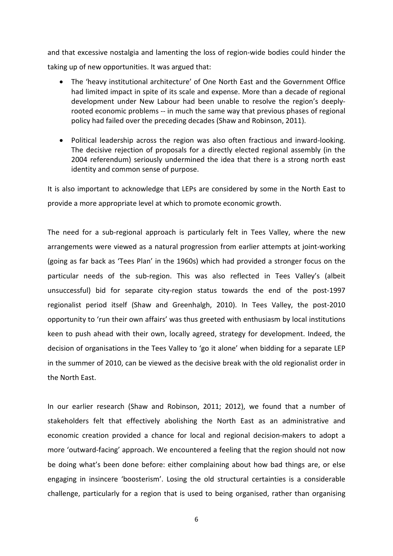and that excessive nostalgia and lamenting the loss of region-wide bodies could hinder the taking up of new opportunities. It was argued that:

- The 'heavy institutional architecture' of One North East and the Government Office had limited impact in spite of its scale and expense. More than a decade of regional development under New Labour had been unable to resolve the region's deeplyrooted economic problems -- in much the same way that previous phases of regional policy had failed over the preceding decades (Shaw and Robinson, 2011).
- Political leadership across the region was also often fractious and inward-looking. The decisive rejection of proposals for a directly elected regional assembly (in the 2004 referendum) seriously undermined the idea that there is a strong north east identity and common sense of purpose.

It is also important to acknowledge that LEPs are considered by some in the North East to provide a more appropriate level at which to promote economic growth.

The need for a sub-regional approach is particularly felt in Tees Valley, where the new arrangements were viewed as a natural progression from earlier attempts at joint-working (going as far back as 'Tees Plan' in the 1960s) which had provided a stronger focus on the particular needs of the sub-region. This was also reflected in Tees Valley's (albeit unsuccessful) bid for separate city-region status towards the end of the post-1997 regionalist period itself (Shaw and Greenhalgh, 2010). In Tees Valley, the post-2010 opportunity to 'run their own affairs' was thus greeted with enthusiasm by local institutions keen to push ahead with their own, locally agreed, strategy for development. Indeed, the decision of organisations in the Tees Valley to 'go it alone' when bidding for a separate LEP in the summer of 2010, can be viewed as the decisive break with the old regionalist order in the North East.

In our earlier research (Shaw and Robinson, 2011; 2012), we found that a number of stakeholders felt that effectively abolishing the North East as an administrative and economic creation provided a chance for local and regional decision-makers to adopt a more 'outward-facing' approach. We encountered a feeling that the region should not now be doing what's been done before: either complaining about how bad things are, or else engaging in insincere 'boosterism'. Losing the old structural certainties is a considerable challenge, particularly for a region that is used to being organised, rather than organising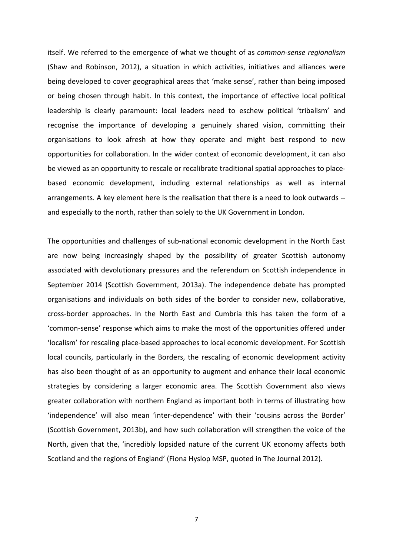itself. We referred to the emergence of what we thought of as *common-sense regionalism* (Shaw and Robinson, 2012), a situation in which activities, initiatives and alliances were being developed to cover geographical areas that 'make sense', rather than being imposed or being chosen through habit. In this context, the importance of effective local political leadership is clearly paramount: local leaders need to eschew political 'tribalism' and recognise the importance of developing a genuinely shared vision, committing their organisations to look afresh at how they operate and might best respond to new opportunities for collaboration. In the wider context of economic development, it can also be viewed as an opportunity to rescale or recalibrate traditional spatial approaches to placebased economic development, including external relationships as well as internal arrangements. A key element here is the realisation that there is a need to look outwards - and especially to the north, rather than solely to the UK Government in London.

The opportunities and challenges of sub-national economic development in the North East are now being increasingly shaped by the possibility of greater Scottish autonomy associated with devolutionary pressures and the referendum on Scottish independence in September 2014 (Scottish Government, 2013a). The independence debate has prompted organisations and individuals on both sides of the border to consider new, collaborative, cross-border approaches. In the North East and Cumbria this has taken the form of a 'common-sense' response which aims to make the most of the opportunities offered under 'localism' for rescaling place-based approaches to local economic development. For Scottish local councils, particularly in the Borders, the rescaling of economic development activity has also been thought of as an opportunity to augment and enhance their local economic strategies by considering a larger economic area. The Scottish Government also views greater collaboration with northern England as important both in terms of illustrating how 'independence' will also mean 'inter-dependence' with their 'cousins across the Border' (Scottish Government, 2013b), and how such collaboration will strengthen the voice of the North, given that the, 'incredibly lopsided nature of the current UK economy affects both Scotland and the regions of England' (Fiona Hyslop MSP, quoted in The Journal 2012).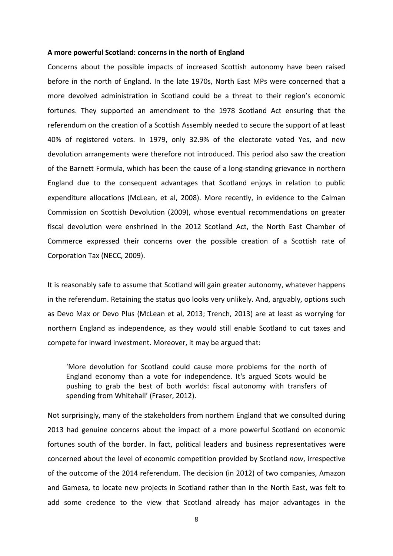#### **A more powerful Scotland: concerns in the north of England**

Concerns about the possible impacts of increased Scottish autonomy have been raised before in the north of England. In the late 1970s, North East MPs were concerned that a more devolved administration in Scotland could be a threat to their region's economic fortunes. They supported an amendment to the 1978 Scotland Act ensuring that the referendum on the creation of a Scottish Assembly needed to secure the support of at least 40% of registered voters. In 1979, only 32.9% of the electorate voted Yes, and new devolution arrangements were therefore not introduced. This period also saw the creation of the Barnett Formula, which has been the cause of a long-standing grievance in northern England due to the consequent advantages that Scotland enjoys in relation to public expenditure allocations (McLean, et al, 2008). More recently, in evidence to the Calman Commission on Scottish Devolution (2009), whose eventual recommendations on greater fiscal devolution were enshrined in the 2012 Scotland Act, the North East Chamber of Commerce expressed their concerns over the possible creation of a Scottish rate of Corporation Tax (NECC, 2009).

It is reasonably safe to assume that Scotland will gain greater autonomy, whatever happens in the referendum. Retaining the status quo looks very unlikely. And, arguably, options such as Devo Max or Devo Plus (McLean et al, 2013; Trench, 2013) are at least as worrying for northern England as independence, as they would still enable Scotland to cut taxes and compete for inward investment. Moreover, it may be argued that:

'More devolution for Scotland could cause more problems for the north of England economy than a vote for independence. It's argued Scots would be pushing to grab the best of both worlds: fiscal autonomy with transfers of spending from Whitehall' (Fraser, 2012).

Not surprisingly, many of the stakeholders from northern England that we consulted during 2013 had genuine concerns about the impact of a more powerful Scotland on economic fortunes south of the border. In fact, political leaders and business representatives were concerned about the level of economic competition provided by Scotland *now*, irrespective of the outcome of the 2014 referendum. The decision (in 2012) of two companies, Amazon and Gamesa, to locate new projects in Scotland rather than in the North East, was felt to add some credence to the view that Scotland already has major advantages in the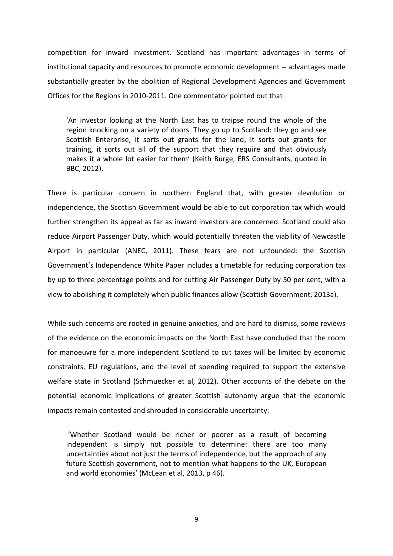competition for inward investment. Scotland has important advantages in terms of institutional capacity and resources to promote economic development -- advantages made substantially greater by the abolition of Regional Development Agencies and Government Offices for the Regions in 2010-2011. One commentator pointed out that

'An investor looking at the North East has to traipse round the whole of the region knocking on a variety of doors. They go up to Scotland: they go and see Scottish Enterprise, it sorts out grants for the land, it sorts out grants for training, it sorts out all of the support that they require and that obviously makes it a whole lot easier for them' (Keith Burge, ERS Consultants, quoted in BBC, 2012).

There is particular concern in northern England that, with greater devolution or independence, the Scottish Government would be able to cut corporation tax which would further strengthen its appeal as far as inward investors are concerned. Scotland could also reduce Airport Passenger Duty, which would potentially threaten the viability of Newcastle Airport in particular (ANEC, 2011). These fears are not unfounded: the Scottish Government's Independence White Paper includes a timetable for reducing corporation tax by up to three percentage points and for cutting Air Passenger Duty by 50 per cent, with a view to abolishing it completely when public finances allow (Scottish Government, 2013a).

While such concerns are rooted in genuine anxieties, and are hard to dismiss, some reviews of the evidence on the economic impacts on the North East have concluded that the room for manoeuvre for a more independent Scotland to cut taxes will be limited by economic constraints, EU regulations, and the level of spending required to support the extensive welfare state in Scotland (Schmuecker et al, 2012). Other accounts of the debate on the potential economic implications of greater Scottish autonomy argue that the economic impacts remain contested and shrouded in considerable uncertainty:

'Whether Scotland would be richer or poorer as a result of becoming independent is simply not possible to determine: there are too many uncertainties about not just the terms of independence, but the approach of any future Scottish government, not to mention what happens to the UK, European and world economies' (McLean et al, 2013, p 46).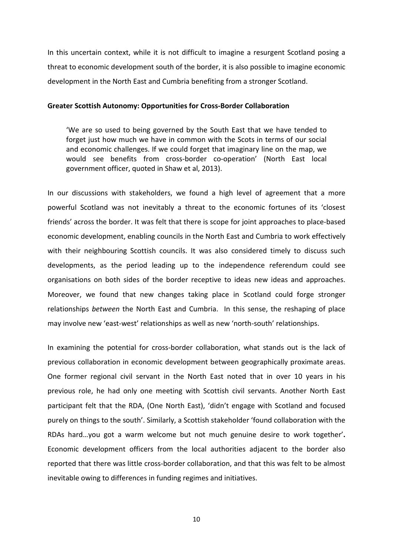In this uncertain context, while it is not difficult to imagine a resurgent Scotland posing a threat to economic development south of the border, it is also possible to imagine economic development in the North East and Cumbria benefiting from a stronger Scotland.

#### **Greater Scottish Autonomy: Opportunities for Cross-Border Collaboration**

'We are so used to being governed by the South East that we have tended to forget just how much we have in common with the Scots in terms of our social and economic challenges. If we could forget that imaginary line on the map, we would see benefits from cross-border co-operation' (North East local government officer, quoted in Shaw et al, 2013).

In our discussions with stakeholders, we found a high level of agreement that a more powerful Scotland was not inevitably a threat to the economic fortunes of its 'closest friends' across the border. It was felt that there is scope for joint approaches to place-based economic development, enabling councils in the North East and Cumbria to work effectively with their neighbouring Scottish councils. It was also considered timely to discuss such developments, as the period leading up to the independence referendum could see organisations on both sides of the border receptive to ideas new ideas and approaches. Moreover, we found that new changes taking place in Scotland could forge stronger relationships *between* the North East and Cumbria. In this sense, the reshaping of place may involve new 'east-west' relationships as well as new 'north-south' relationships.

In examining the potential for cross-border collaboration, what stands out is the lack of previous collaboration in economic development between geographically proximate areas. One former regional civil servant in the North East noted that in over 10 years in his previous role, he had only one meeting with Scottish civil servants. Another North East participant felt that the RDA, (One North East), 'didn't engage with Scotland and focused purely on things to the south'. Similarly, a Scottish stakeholder 'found collaboration with the RDAs hard…you got a warm welcome but not much genuine desire to work together'**.**  Economic development officers from the local authorities adjacent to the border also reported that there was little cross-border collaboration, and that this was felt to be almost inevitable owing to differences in funding regimes and initiatives.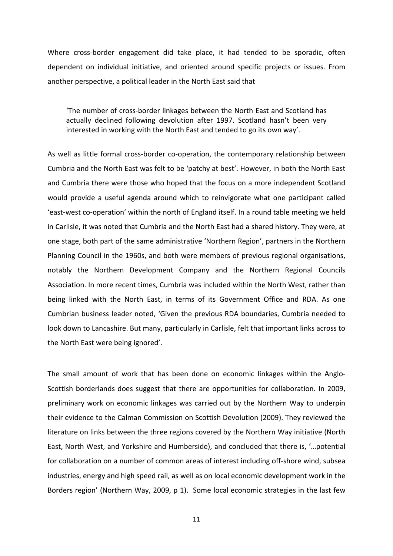Where cross-border engagement did take place, it had tended to be sporadic, often dependent on individual initiative, and oriented around specific projects or issues. From another perspective, a political leader in the North East said that

'The number of cross-border linkages between the North East and Scotland has actually declined following devolution after 1997. Scotland hasn't been very interested in working with the North East and tended to go its own way'.

As well as little formal cross-border co-operation, the contemporary relationship between Cumbria and the North East was felt to be 'patchy at best'. However, in both the North East and Cumbria there were those who hoped that the focus on a more independent Scotland would provide a useful agenda around which to reinvigorate what one participant called 'east-west co-operation' within the north of England itself. In a round table meeting we held in Carlisle, it was noted that Cumbria and the North East had a shared history. They were, at one stage, both part of the same administrative 'Northern Region', partners in the Northern Planning Council in the 1960s, and both were members of previous regional organisations, notably the Northern Development Company and the Northern Regional Councils Association. In more recent times, Cumbria was included within the North West, rather than being linked with the North East, in terms of its Government Office and RDA. As one Cumbrian business leader noted, 'Given the previous RDA boundaries, Cumbria needed to look down to Lancashire. But many, particularly in Carlisle, felt that important links across to the North East were being ignored'.

The small amount of work that has been done on economic linkages within the Anglo-Scottish borderlands does suggest that there are opportunities for collaboration. In 2009, preliminary work on economic linkages was carried out by the Northern Way to underpin their evidence to the Calman Commission on Scottish Devolution (2009). They reviewed the literature on links between the three regions covered by the Northern Way initiative (North East, North West, and Yorkshire and Humberside), and concluded that there is, '…potential for collaboration on a number of common areas of interest including off-shore wind, subsea industries, energy and high speed rail, as well as on local economic development work in the Borders region' (Northern Way, 2009, p 1). Some local economic strategies in the last few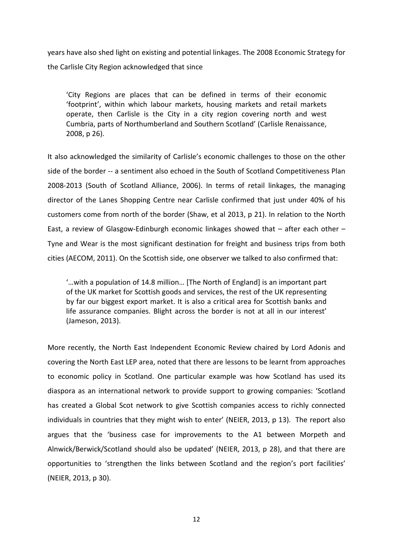years have also shed light on existing and potential linkages. The 2008 Economic Strategy for the Carlisle City Region acknowledged that since

'City Regions are places that can be defined in terms of their economic 'footprint', within which labour markets, housing markets and retail markets operate, then Carlisle is the City in a city region covering north and west Cumbria, parts of Northumberland and Southern Scotland' (Carlisle Renaissance, 2008, p 26).

It also acknowledged the similarity of Carlisle's economic challenges to those on the other side of the border -- a sentiment also echoed in the South of Scotland Competitiveness Plan 2008-2013 (South of Scotland Alliance, 2006). In terms of retail linkages, the managing director of the Lanes Shopping Centre near Carlisle confirmed that just under 40% of his customers come from north of the border (Shaw, et al 2013, p 21). In relation to the North East, a review of Glasgow-Edinburgh economic linkages showed that  $-$  after each other  $-$ Tyne and Wear is the most significant destination for freight and business trips from both cities (AECOM, 2011). On the Scottish side, one observer we talked to also confirmed that:

'…with a population of 14.8 million… [The North of England] is an important part of the UK market for Scottish goods and services, the rest of the UK representing by far our biggest export market. It is also a critical area for Scottish banks and life assurance companies. Blight across the border is not at all in our interest' (Jameson, 2013).

More recently, the North East Independent Economic Review chaired by Lord Adonis and covering the North East LEP area, noted that there are lessons to be learnt from approaches to economic policy in Scotland. One particular example was how Scotland has used its diaspora as an international network to provide support to growing companies: 'Scotland has created a Global Scot network to give Scottish companies access to richly connected individuals in countries that they might wish to enter' (NEIER, 2013, p 13). The report also argues that the 'business case for improvements to the A1 between Morpeth and Alnwick/Berwick/Scotland should also be updated' (NEIER, 2013, p 28), and that there are opportunities to 'strengthen the links between Scotland and the region's port facilities' (NEIER, 2013, p 30).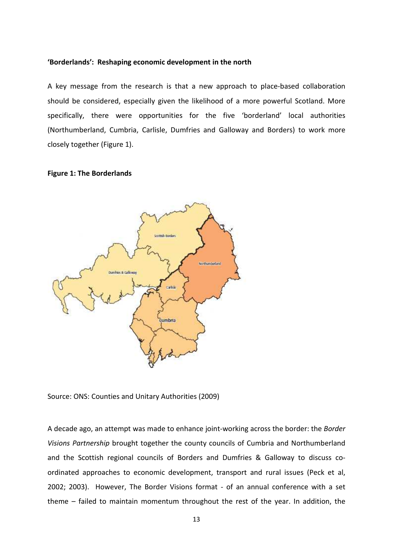#### **'Borderlands': Reshaping economic development in the north**

A key message from the research is that a new approach to place-based collaboration should be considered, especially given the likelihood of a more powerful Scotland. More specifically, there were opportunities for the five 'borderland' local authorities (Northumberland, Cumbria, Carlisle, Dumfries and Galloway and Borders) to work more closely together (Figure 1).

#### **Figure 1: The Borderlands**



Source: ONS: Counties and Unitary Authorities (2009)

A decade ago, an attempt was made to enhance joint-working across the border: the *Border Visions Partnership* brought together the county councils of Cumbria and Northumberland and the Scottish regional councils of Borders and Dumfries & Galloway to discuss coordinated approaches to economic development, transport and rural issues (Peck et al, 2002; 2003). However, The Border Visions format - of an annual conference with a set theme – failed to maintain momentum throughout the rest of the year. In addition, the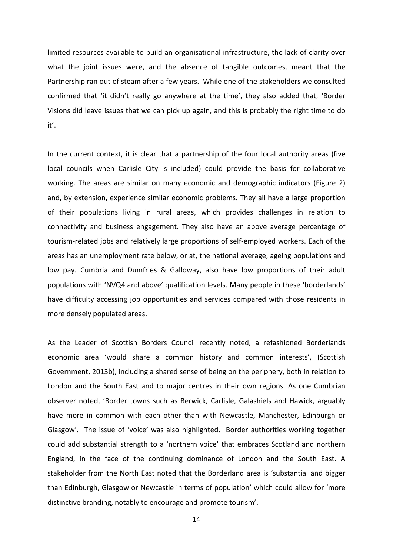limited resources available to build an organisational infrastructure, the lack of clarity over what the joint issues were, and the absence of tangible outcomes, meant that the Partnership ran out of steam after a few years. While one of the stakeholders we consulted confirmed that 'it didn't really go anywhere at the time', they also added that, 'Border Visions did leave issues that we can pick up again, and this is probably the right time to do it'.

In the current context, it is clear that a partnership of the four local authority areas (five local councils when Carlisle City is included) could provide the basis for collaborative working. The areas are similar on many economic and demographic indicators (Figure 2) and, by extension, experience similar economic problems. They all have a large proportion of their populations living in rural areas, which provides challenges in relation to connectivity and business engagement. They also have an above average percentage of tourism-related jobs and relatively large proportions of self-employed workers. Each of the areas has an unemployment rate below, or at, the national average, ageing populations and low pay. Cumbria and Dumfries & Galloway, also have low proportions of their adult populations with 'NVQ4 and above' qualification levels. Many people in these 'borderlands' have difficulty accessing job opportunities and services compared with those residents in more densely populated areas.

As the Leader of Scottish Borders Council recently noted, a refashioned Borderlands economic area 'would share a common history and common interests', (Scottish Government, 2013b), including a shared sense of being on the periphery, both in relation to London and the South East and to major centres in their own regions. As one Cumbrian observer noted, 'Border towns such as Berwick, Carlisle, Galashiels and Hawick, arguably have more in common with each other than with Newcastle, Manchester, Edinburgh or Glasgow'. The issue of 'voice' was also highlighted. Border authorities working together could add substantial strength to a 'northern voice' that embraces Scotland and northern England, in the face of the continuing dominance of London and the South East. A stakeholder from the North East noted that the Borderland area is 'substantial and bigger than Edinburgh, Glasgow or Newcastle in terms of population' which could allow for 'more distinctive branding, notably to encourage and promote tourism'.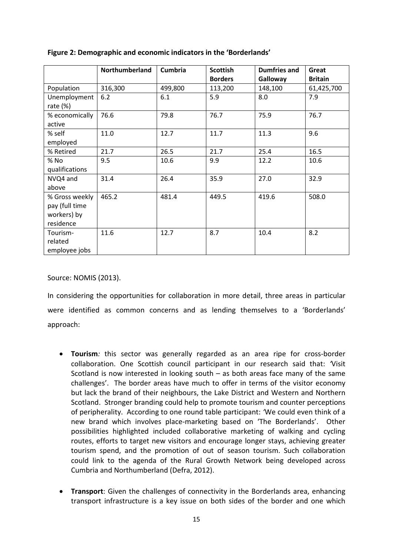|                                                              | Northumberland | <b>Cumbria</b> | <b>Scottish</b><br><b>Borders</b> | Dumfries and<br>Galloway | Great<br><b>Britain</b> |
|--------------------------------------------------------------|----------------|----------------|-----------------------------------|--------------------------|-------------------------|
| Population                                                   | 316,300        | 499,800        | 113,200                           | 148,100                  | 61,425,700              |
| Unemployment<br>rate $(\%)$                                  | 6.2            | 6.1            | 5.9                               | 8.0                      | 7.9                     |
| % economically<br>active                                     | 76.6           | 79.8           | 76.7                              | 75.9                     | 76.7                    |
| % self<br>employed                                           | 11.0           | 12.7           | 11.7                              | 11.3                     | 9.6                     |
| % Retired                                                    | 21.7           | 26.5           | 21.7                              | 25.4                     | 16.5                    |
| % No<br>qualifications                                       | 9.5            | 10.6           | 9.9                               | 12.2                     | 10.6                    |
| NVQ4 and<br>above                                            | 31.4           | 26.4           | 35.9                              | 27.0                     | 32.9                    |
| % Gross weekly<br>pay (full time<br>workers) by<br>residence | 465.2          | 481.4          | 449.5                             | 419.6                    | 508.0                   |
| Tourism-<br>related<br>employee jobs                         | 11.6           | 12.7           | 8.7                               | 10.4                     | 8.2                     |

**Figure 2: Demographic and economic indicators in the 'Borderlands'**

### Source: NOMIS (2013).

In considering the opportunities for collaboration in more detail, three areas in particular were identified as common concerns and as lending themselves to a 'Borderlands' approach:

- **Tourism***:* this sector was generally regarded as an area ripe for cross-border collaboration. One Scottish council participant in our research said that: *'*Visit Scotland is now interested in looking south – as both areas face many of the same challenges'. The border areas have much to offer in terms of the visitor economy but lack the brand of their neighbours, the Lake District and Western and Northern Scotland. Stronger branding could help to promote tourism and counter perceptions of peripherality. According to one round table participant: *'*We could even think of a new brand which involves place-marketing based on 'The Borderlands'. Other possibilities highlighted included collaborative marketing of walking and cycling routes, efforts to target new visitors and encourage longer stays, achieving greater tourism spend, and the promotion of out of season tourism. Such collaboration could link to the agenda of the Rural Growth Network being developed across Cumbria and Northumberland (Defra, 2012).
- **Transport**: Given the challenges of connectivity in the Borderlands area, enhancing transport infrastructure is a key issue on both sides of the border and one which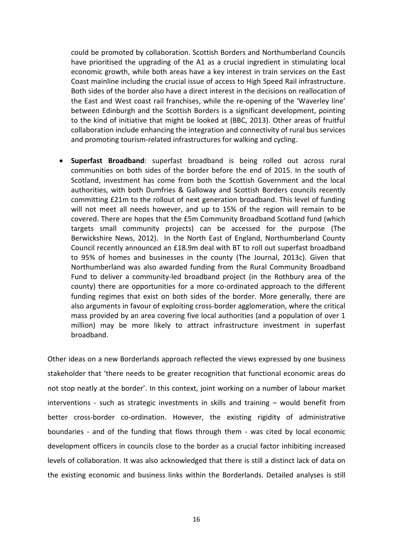could be promoted by collaboration. Scottish Borders and Northumberland Councils have prioritised the upgrading of the A1 as a crucial ingredient in stimulating local economic growth, while both areas have a key interest in train services on the East Coast mainline including the crucial issue of access to High Speed Rail infrastructure. Both sides of the border also have a direct interest in the decisions on reallocation of the East and West coast rail franchises, while the re-opening of the 'Waverley line' between Edinburgh and the Scottish Borders is a significant development, pointing to the kind of initiative that might be looked at (BBC, 2013). Other areas of fruitful collaboration include enhancing the integration and connectivity of rural bus services and promoting tourism-related infrastructures for walking and cycling.

• **Superfast Broadband**: superfast broadband is being rolled out across rural communities on both sides of the border before the end of 2015. In the south of Scotland, investment has come from both the Scottish Government and the local authorities, with both Dumfries & Galloway and Scottish Borders councils recently committing £21m to the rollout of next generation broadband. This level of funding will not meet all needs however, and up to 15% of the region will remain to be covered. There are hopes that the £5m Community Broadband Scotland fund (which targets small community projects) can be accessed for the purpose (The Berwickshire News, 2012). In the North East of England, Northumberland County Council recently announced an £18.9m deal with BT to roll out superfast broadband to 95% of homes and businesses in the county (The Journal, 2013c). Given that Northumberland was also awarded funding from the Rural Community Broadband Fund to deliver a community-led broadband project (in the Rothbury area of the county) there are opportunities for a more co-ordinated approach to the different funding regimes that exist on both sides of the border. More generally, there are also arguments in favour of exploiting cross-border agglomeration, where the critical mass provided by an area covering five local authorities (and a population of over 1 million) may be more likely to attract infrastructure investment in superfast broadband.

Other ideas on a new Borderlands approach reflected the views expressed by one business stakeholder that 'there needs to be greater recognition that functional economic areas do not stop neatly at the border'. In this context, joint working on a number of labour market interventions - such as strategic investments in skills and training – would benefit from better cross-border co-ordination. However, the existing rigidity of administrative boundaries - and of the funding that flows through them - was cited by local economic development officers in councils close to the border as a crucial factor inhibiting increased levels of collaboration. It was also acknowledged that there is still a distinct lack of data on the existing economic and business links within the Borderlands. Detailed analyses is still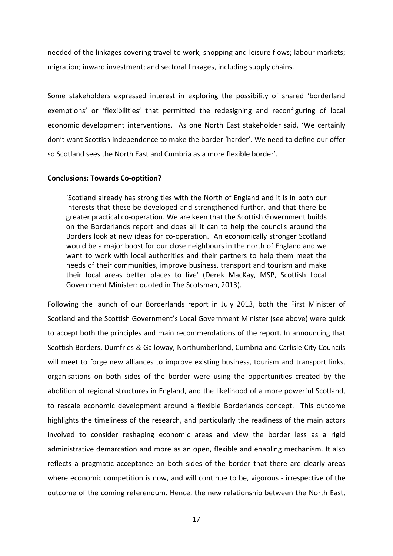needed of the linkages covering travel to work, shopping and leisure flows; labour markets; migration; inward investment; and sectoral linkages, including supply chains.

Some stakeholders expressed interest in exploring the possibility of shared 'borderland exemptions' or 'flexibilities' that permitted the redesigning and reconfiguring of local economic development interventions. As one North East stakeholder said, 'We certainly don't want Scottish independence to make the border 'harder'. We need to define our offer so Scotland sees the North East and Cumbria as a more flexible border'.

#### **Conclusions: Towards Co-optition?**

'Scotland already has strong ties with the North of England and it is in both our interests that these be developed and strengthened further, and that there be greater practical co-operation. We are keen that the Scottish Government builds on the Borderlands report and does all it can to help the councils around the Borders look at new ideas for co-operation. An economically stronger Scotland would be a major boost for our close neighbours in the north of England and we want to work with local authorities and their partners to help them meet the needs of their communities, improve business, transport and tourism and make their local areas better places to live' (Derek MacKay, MSP, Scottish Local Government Minister: quoted in The Scotsman, 2013).

Following the launch of our Borderlands report in July 2013, both the First Minister of Scotland and the Scottish Government's Local Government Minister (see above) were quick to accept both the principles and main recommendations of the report. In announcing that Scottish Borders, Dumfries & Galloway, Northumberland, Cumbria and Carlisle City Councils will meet to forge new alliances to improve existing business, tourism and transport links, organisations on both sides of the border were using the opportunities created by the abolition of regional structures in England, and the likelihood of a more powerful Scotland, to rescale economic development around a flexible Borderlands concept. This outcome highlights the timeliness of the research, and particularly the readiness of the main actors involved to consider reshaping economic areas and view the border less as a rigid administrative demarcation and more as an open, flexible and enabling mechanism. It also reflects a pragmatic acceptance on both sides of the border that there are clearly areas where economic competition is now, and will continue to be, vigorous - irrespective of the outcome of the coming referendum. Hence, the new relationship between the North East,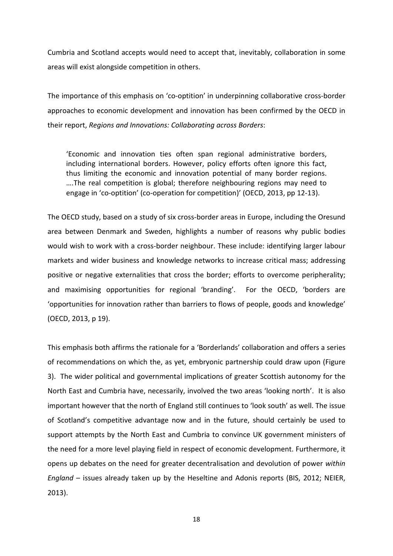Cumbria and Scotland accepts would need to accept that, inevitably, collaboration in some areas will exist alongside competition in others.

The importance of this emphasis on 'co-optition' in underpinning collaborative cross-border approaches to economic development and innovation has been confirmed by the OECD in their report, *Regions and Innovations: Collaborating across Borders*:

'Economic and innovation ties often span regional administrative borders, including international borders. However, policy efforts often ignore this fact, thus limiting the economic and innovation potential of many border regions. ….The real competition is global; therefore neighbouring regions may need to engage in 'co-optition' (co-operation for competition)' (OECD, 2013, pp 12-13).

The OECD study, based on a study of six cross-border areas in Europe, including the Oresund area between Denmark and Sweden, highlights a number of reasons why public bodies would wish to work with a cross-border neighbour. These include: identifying larger labour markets and wider business and knowledge networks to increase critical mass; addressing positive or negative externalities that cross the border; efforts to overcome peripherality; and maximising opportunities for regional 'branding'. For the OECD, 'borders are 'opportunities for innovation rather than barriers to flows of people, goods and knowledge' (OECD, 2013, p 19).

This emphasis both affirms the rationale for a 'Borderlands' collaboration and offers a series of recommendations on which the, as yet, embryonic partnership could draw upon (Figure 3). The wider political and governmental implications of greater Scottish autonomy for the North East and Cumbria have, necessarily, involved the two areas 'looking north'. It is also important however that the north of England still continues to 'look south' as well. The issue of Scotland's competitive advantage now and in the future, should certainly be used to support attempts by the North East and Cumbria to convince UK government ministers of the need for a more level playing field in respect of economic development. Furthermore, it opens up debates on the need for greater decentralisation and devolution of power *within England* – issues already taken up by the Heseltine and Adonis reports (BIS, 2012; NEIER, 2013).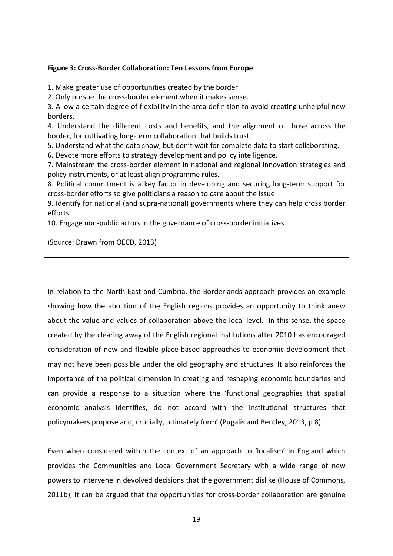### **Figure 3: Cross-Border Collaboration: Ten Lessons from Europe**

1. Make greater use of opportunities created by the border

2. Only pursue the cross-border element when it makes sense.

3. Allow a certain degree of flexibility in the area definition to avoid creating unhelpful new borders.

4. Understand the different costs and benefits, and the alignment of those across the border, for cultivating long-term collaboration that builds trust.

5. Understand what the data show, but don't wait for complete data to start collaborating.

6. Devote more efforts to strategy development and policy intelligence.

7. Mainstream the cross-border element in national and regional innovation strategies and policy instruments, or at least align programme rules.

8. Political commitment is a key factor in developing and securing long-term support for cross-border efforts so give politicians a reason to care about the issue

9. Identify for national (and supra-national) governments where they can help cross border efforts.

10. Engage non-public actors in the governance of cross-border initiatives

(Source: Drawn from OECD, 2013)

In relation to the North East and Cumbria, the Borderlands approach provides an example showing how the abolition of the English regions provides an opportunity to think anew about the value and values of collaboration above the local level. In this sense, the space created by the clearing away of the English regional institutions after 2010 has encouraged consideration of new and flexible place-based approaches to economic development that may not have been possible under the old geography and structures. It also reinforces the importance of the political dimension in creating and reshaping economic boundaries and can provide a response to a situation where the 'functional geographies that spatial economic analysis identifies, do not accord with the institutional structures that policymakers propose and, crucially, ultimately form' (Pugalis and Bentley, 2013, p 8).

Even when considered within the context of an approach to 'localism' in England which provides the Communities and Local Government Secretary with a wide range of new powers to intervene in devolved decisions that the government dislike (House of Commons, 2011b), it can be argued that the opportunities for cross-border collaboration are genuine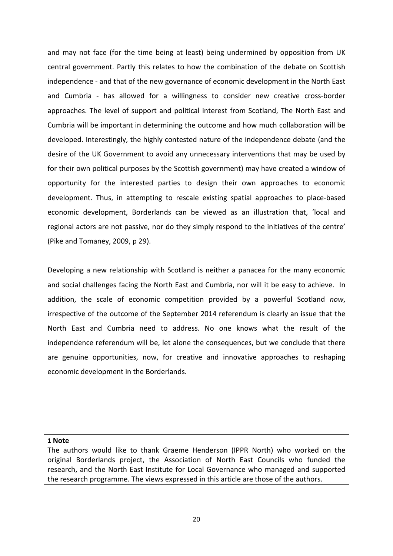and may not face (for the time being at least) being undermined by opposition from UK central government. Partly this relates to how the combination of the debate on Scottish independence - and that of the new governance of economic development in the North East and Cumbria - has allowed for a willingness to consider new creative cross-border approaches. The level of support and political interest from Scotland, The North East and Cumbria will be important in determining the outcome and how much collaboration will be developed. Interestingly, the highly contested nature of the independence debate (and the desire of the UK Government to avoid any unnecessary interventions that may be used by for their own political purposes by the Scottish government) may have created a window of opportunity for the interested parties to design their own approaches to economic development. Thus, in attempting to rescale existing spatial approaches to place-based economic development, Borderlands can be viewed as an illustration that, 'local and regional actors are not passive, nor do they simply respond to the initiatives of the centre' (Pike and Tomaney, 2009, p 29).

Developing a new relationship with Scotland is neither a panacea for the many economic and social challenges facing the North East and Cumbria, nor will it be easy to achieve. In addition, the scale of economic competition provided by a powerful Scotland *now*, irrespective of the outcome of the September 2014 referendum is clearly an issue that the North East and Cumbria need to address. No one knows what the result of the independence referendum will be, let alone the consequences, but we conclude that there are genuine opportunities, now, for creative and innovative approaches to reshaping economic development in the Borderlands.

#### **1 Note**

The authors would like to thank Graeme Henderson (IPPR North) who worked on the original Borderlands project, the Association of North East Councils who funded the research, and the North East Institute for Local Governance who managed and supported the research programme. The views expressed in this article are those of the authors.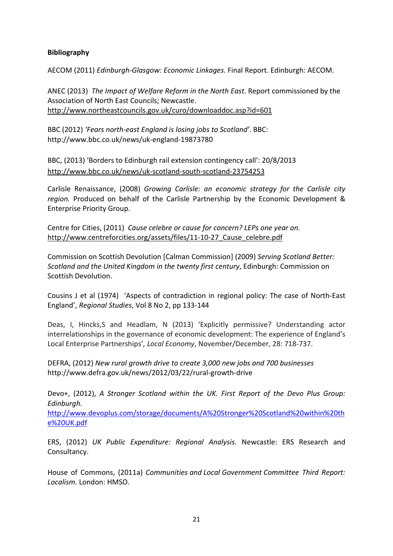## **Bibliography**

AECOM (2011) *Edinburgh-Glasgow: Economic Linkages*. Final Report. Edinburgh: AECOM.

ANEC (2013) *The Impact of Welfare Reform in the North East*. Report commissioned by the Association of North East Councils; Newcastle. <http://www.northeastcouncils.gov.uk/curo/downloaddoc.asp?id=601>

BBC (2012) *'Fears north-east England is losing jobs to Scotland'*. BBC: http://www.bbc.co.uk/news/uk-england-19873780

BBC, (2013) 'Borders to Edinburgh rail extension contingency call': 20/8/2013 <http://www.bbc.co.uk/news/uk-scotland-south-scotland-23754253>

Carlisle Renaissance, (2008) *Growing Carlisle: an economic strategy for the Carlisle city region.* Produced on behalf of the Carlisle Partnership by the Economic Development & Enterprise Priority Group.

Centre for Cities, (2011) *Cause celebre or cause for concern? LEPs one year on.*  http://www.centreforcities.org/assets/files/11-10-27 Cause celebre.pdf

Commission on Scottish Devolution [Calman Commission] (2009) *Serving Scotland Better: Scotland and the United Kingdom in the twenty first century*, Edinburgh: Commission on Scottish Devolution.

Cousins J et al (1974) 'Aspects of contradiction in regional policy: The case of North-East England', *Regional Studies*, Vol 8 No 2, pp 133-144

Deas, I, Hincks,S and Headlam, N (2013) 'Explicitly permissive? Understanding actor interrelationships in the governance of economic development: The experience of England's Local Enterprise Partnerships'*, Local Economy*, November/December, 28: 718-737.

DEFRA, (2012) *New rural growth drive to create 3,000 new jobs and 700 businesses* http://www.defra.gov.uk/news/2012/03/22/rural-growth-drive

Devo+, (2012), *A Stronger Scotland within the UK. First Report of the Devo Plus Group: Edinburgh.*

[http://www.devoplus.com/storage/documents/A%20Stronger%20Scotland%20within%20th](http://www.devoplus.com/storage/documents/A%20Stronger%20Scotland%20within%20the%20UK.pdf) [e%20UK.pdf](http://www.devoplus.com/storage/documents/A%20Stronger%20Scotland%20within%20the%20UK.pdf)

ERS, (2012) *UK Public Expenditure: Regional Analysis*. Newcastle: ERS Research and Consultancy.

House of Commons, (2011a) *Communities and Local Government Committee Third Report: Localism.* London: HMSO.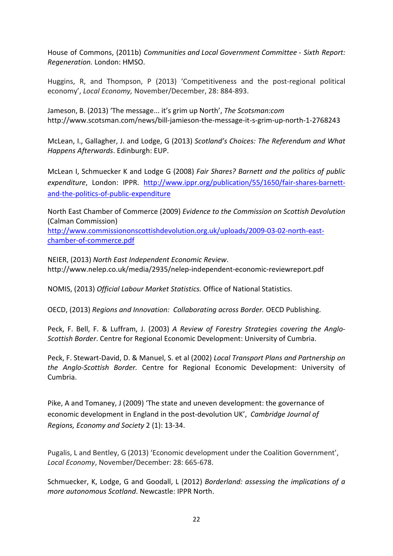House of Commons, (2011b) *Communities and Local Government Committee - Sixth Report: Regeneration.* London: HMSO.

Huggins, R, and Thompson, P (2013) 'Competitiveness and the post-regional political economy', *Local Economy,* November/December, 28: 884-893.

Jameson, B. (2013) 'The message... it's grim up North', *The Scotsman:com* http://www.scotsman.com/news/bill-jamieson-the-message-it-s-grim-up-north-1-2768243

McLean, I., Gallagher, J. and Lodge, G (2013) *Scotland's Choices: The Referendum and What Happens Afterwards*. Edinburgh: EUP.

McLean I, Schmuecker K and Lodge G (2008) *Fair Shares? Barnett and the politics of public expenditure*, London: IPPR. [http://www.ippr.org/publication/55/1650/fair-shares-barnett](http://www.ippr.org/publication/55/1650/fair-shares-barnett-and-the-politics-of-public-expenditure)[and-the-politics-of-public-expenditure](http://www.ippr.org/publication/55/1650/fair-shares-barnett-and-the-politics-of-public-expenditure)

North East Chamber of Commerce (2009) *Evidence to the Commission on Scottish Devolution*  (Calman Commission)

[http://www.commissiononscottishdevolution.org.uk/uploads/2009-03-02-north-east](http://www.commissiononscottishdevolution.org.uk/uploads/2009-03-02-north-east-chamber-of-commerce.pdf)[chamber-of-commerce.pdf](http://www.commissiononscottishdevolution.org.uk/uploads/2009-03-02-north-east-chamber-of-commerce.pdf)

NEIER, (2013) *North East Independent Economic Review*. http://www.nelep.co.uk/media/2935/nelep-independent-economic-reviewreport.pdf

NOMIS, (2013) *Official Labour Market Statistics.* Office of National Statistics.

OECD, (2013) *Regions and Innovation: Collaborating across Border.* OECD Publishing.

Peck, F. Bell, F. & Luffram, J. (2003) *A Review of Forestry Strategies covering the Anglo-Scottish Border*. Centre for Regional Economic Development: University of Cumbria.

Peck, F. Stewart-David, D. & Manuel, S. et al (2002) *Local Transport Plans and Partnership on the Anglo-Scottish Border.* Centre for Regional Economic Development: University of Cumbria.

Pike, A and Tomaney, J (2009) 'The state and uneven development: the governance of economic development in England in the post-devolution UK', *Cambridge Journal of Regions, Economy and Society* 2 (1): 13-34.

Pugalis, L and Bentley, G (2013) 'Economic development under the Coalition Government', *Local Economy*, November/December: 28: 665-678.

Schmuecker, K, Lodge, G and Goodall, L (2012) *Borderland: assessing the implications of a more autonomous Scotland*. Newcastle: IPPR North.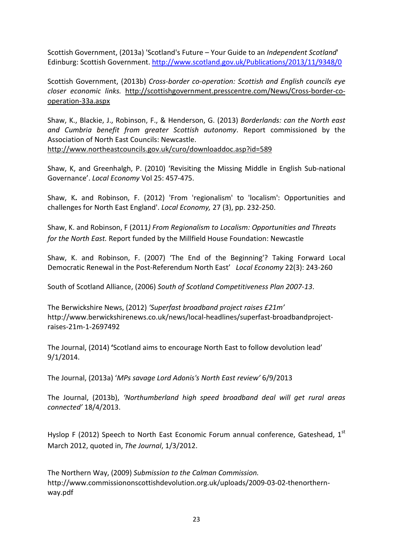Scottish Government, (2013a) ['Scotland's Future – Your Guide to an](http://www.google.co.uk/url?sa=t&rct=j&q=&esrc=s&frm=1&source=web&cd=4&cad=rja&ved=0CDcQFjAD&url=http%3A%2F%2Fwww.scotland.gov.uk%2FPublications%2F2013%2F11%2F9348%2F0&ei=6hrZUqCHEsrUswbqh4HABA&usg=AFQjCNGpnhajXaUIyl0txjXuF2-EJugYYQ&bvm=bv.59568121,d.Yms) *Independent Scotland*' Edinburg: Scottish Government. <http://www.scotland.gov.uk/Publications/2013/11/9348/0>

Scottish Government, (2013b) *Cross-border co-operation: Scottish and English councils eye closer economic links.* [http://scottishgovernment.presscentre.com/News/Cross-border-co](http://scottishgovernment.presscentre.com/News/Cross-border-co-operation-33a.aspx)[operation-33a.aspx](http://scottishgovernment.presscentre.com/News/Cross-border-co-operation-33a.aspx)

Shaw, K., Blackie, J., Robinson, F., & Henderson, G. (2013) *Borderlands: can the North east and Cumbria benefit from greater Scottish autonomy*. Report commissioned by the Association of North East Councils: Newcastle. <http://www.northeastcouncils.gov.uk/curo/downloaddoc.asp?id=589>

Shaw, K, and Greenhalgh, P. (2010) 'Revisiting the Missing Middle in English Sub-national Governance'. *Local Economy* Vol 25: 457-475.

Shaw, K**.** and Robinson, F. (2012) 'From 'regionalism' to 'localism': Opportunities and challenges for North East England'. *Local Economy,* 27 (3), pp. 232-250.

Shaw, K. and Robinson, F (2011*) From Regionalism to Localism: Opportunities and Threats for the North East.* Report funded by the Millfield House Foundation: Newcastle

Shaw, K. and Robinson, F. (2007) 'The End of the Beginning'? Taking Forward Local Democratic Renewal in the Post-Referendum North East' *Local Economy* 22(3): 243-260

South of Scotland Alliance, (2006) *South of Scotland Competitiveness Plan 2007-13*.

The Berwickshire News, (2012) *'Superfast broadband project raises £21m'* http://www.berwickshirenews.co.uk/news/local-headlines/superfast-broadbandprojectraises-21m-1-2697492

The Journal, (2014) **'**Scotland aims to encourage North East to follow devolution lead' 9/1/2014.

The Journal, (2013a) '*MPs savage Lord Adonis's North East review'* 6/9/2013

The Journal, (2013b), *'Northumberland high speed broadband deal will get rural areas connected'* 18/4/2013.

Hyslop F (2012) Speech to North East Economic Forum annual conference, Gateshead,  $1<sup>st</sup>$ March 2012, quoted in, *The Journal*, 1/3/2012.

The Northern Way, (2009) *Submission to the Calman Commission.* http://www.commissiononscottishdevolution.org.uk/uploads/2009-03-02-thenorthernway.pdf